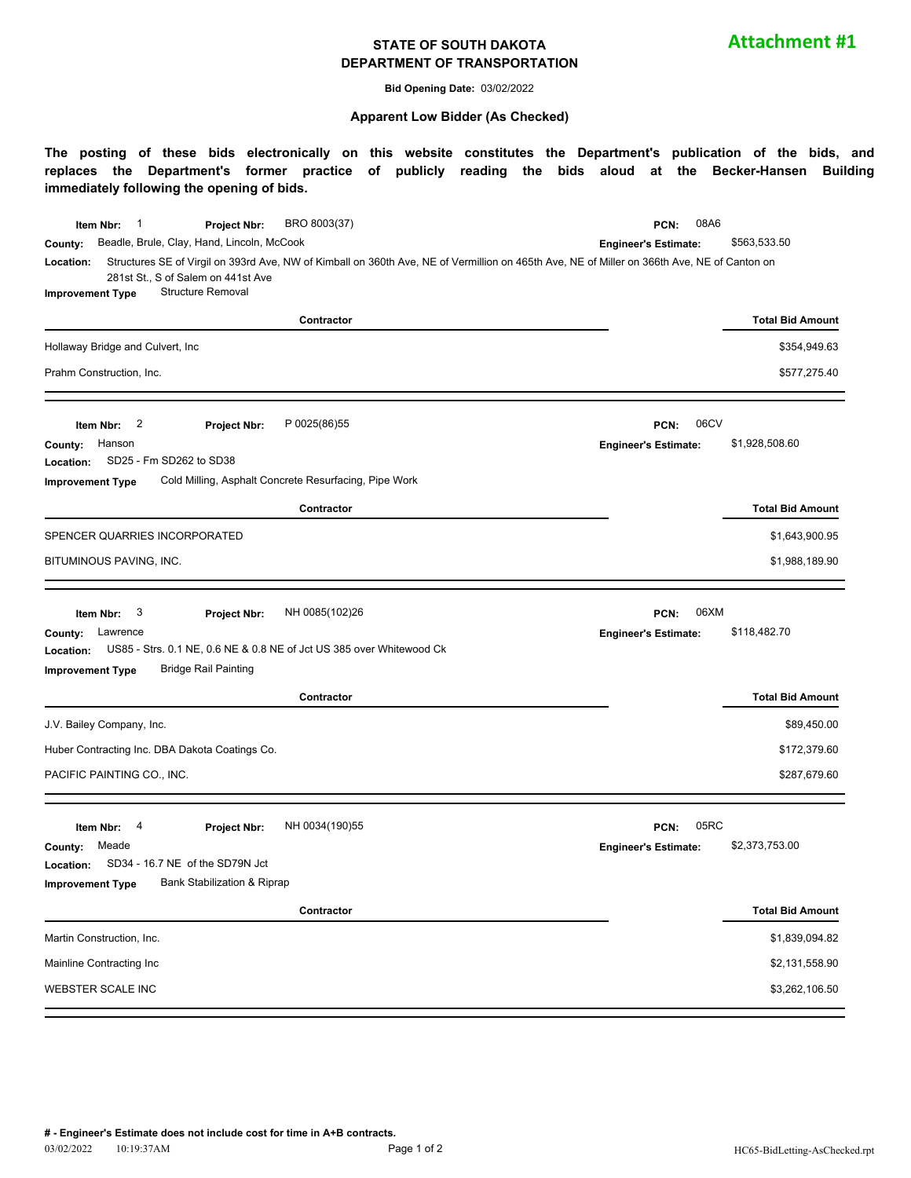#### **STATE OF SOUTH DAKOTA DEPARTMENT OF TRANSPORTATION**

**Attachment #1**

**Bid Opening Date:** 03/02/2022

#### **Apparent Low Bidder (As Checked)**

**The posting of these bids electronically on this website constitutes the Department's publication of the bids, and replaces the Department's former practice of publicly reading the bids aloud at the Becker-Hansen Building immediately following the opening of bids.**

| BRO 8003(37)<br>$\mathbf{1}$<br>Item Nbr:<br>Project Nbr:                                                                                                | 08A6<br>PCN:                |                         |
|----------------------------------------------------------------------------------------------------------------------------------------------------------|-----------------------------|-------------------------|
| Beadle, Brule, Clay, Hand, Lincoln, McCook<br>County:                                                                                                    | <b>Engineer's Estimate:</b> | \$563,533.50            |
| Structures SE of Virgil on 393rd Ave, NW of Kimball on 360th Ave, NE of Vermillion on 465th Ave, NE of Miller on 366th Ave, NE of Canton on<br>Location: |                             |                         |
| 281st St., S of Salem on 441st Ave<br><b>Structure Removal</b><br><b>Improvement Type</b>                                                                |                             |                         |
| Contractor                                                                                                                                               |                             | <b>Total Bid Amount</b> |
|                                                                                                                                                          |                             |                         |
| Hollaway Bridge and Culvert, Inc                                                                                                                         |                             | \$354,949.63            |
| Prahm Construction, Inc.                                                                                                                                 |                             | \$577,275.40            |
| $\overline{\mathbf{c}}$<br>P 0025(86)55<br>Item Nbr:<br><b>Project Nbr:</b>                                                                              | 06CV<br>PCN:                |                         |
| Hanson<br>County:                                                                                                                                        | <b>Engineer's Estimate:</b> | \$1,928,508.60          |
| SD25 - Fm SD262 to SD38<br>Location:                                                                                                                     |                             |                         |
| Cold Milling, Asphalt Concrete Resurfacing, Pipe Work<br><b>Improvement Type</b>                                                                         |                             |                         |
| Contractor                                                                                                                                               |                             | <b>Total Bid Amount</b> |
| SPENCER QUARRIES INCORPORATED                                                                                                                            |                             | \$1,643,900.95          |
| BITUMINOUS PAVING, INC.                                                                                                                                  |                             | \$1,988,189.90          |
|                                                                                                                                                          |                             |                         |
| NH 0085(102)26<br>Item Nbr:<br>3<br>Project Nbr:                                                                                                         | 06XM<br>PCN:                |                         |
| Lawrence<br>County:                                                                                                                                      | <b>Engineer's Estimate:</b> | \$118,482.70            |
| US85 - Strs. 0.1 NE, 0.6 NE & 0.8 NE of Jct US 385 over Whitewood Ck<br>Location:                                                                        |                             |                         |
| <b>Bridge Rail Painting</b><br><b>Improvement Type</b>                                                                                                   |                             |                         |
| Contractor                                                                                                                                               |                             | <b>Total Bid Amount</b> |
| J.V. Bailey Company, Inc.                                                                                                                                |                             | \$89,450.00             |
| Huber Contracting Inc. DBA Dakota Coatings Co.                                                                                                           |                             | \$172,379.60            |
| PACIFIC PAINTING CO., INC.                                                                                                                               |                             | \$287,679.60            |
|                                                                                                                                                          |                             |                         |
| NH 0034(190)55<br>Item Nbr:<br>4<br><b>Project Nbr:</b>                                                                                                  | 05RC<br>PCN:                |                         |
| Meade<br>County:                                                                                                                                         | <b>Engineer's Estimate:</b> | \$2,373,753.00          |
| SD34 - 16.7 NE of the SD79N Jct<br>Location:                                                                                                             |                             |                         |
| <b>Bank Stabilization &amp; Riprap</b><br><b>Improvement Type</b>                                                                                        |                             |                         |
| Contractor                                                                                                                                               |                             | <b>Total Bid Amount</b> |
| Martin Construction, Inc.                                                                                                                                |                             | \$1,839,094.82          |
| Mainline Contracting Inc                                                                                                                                 |                             | \$2,131,558.90          |
| WEBSTER SCALE INC                                                                                                                                        |                             | \$3,262,106.50          |
|                                                                                                                                                          |                             |                         |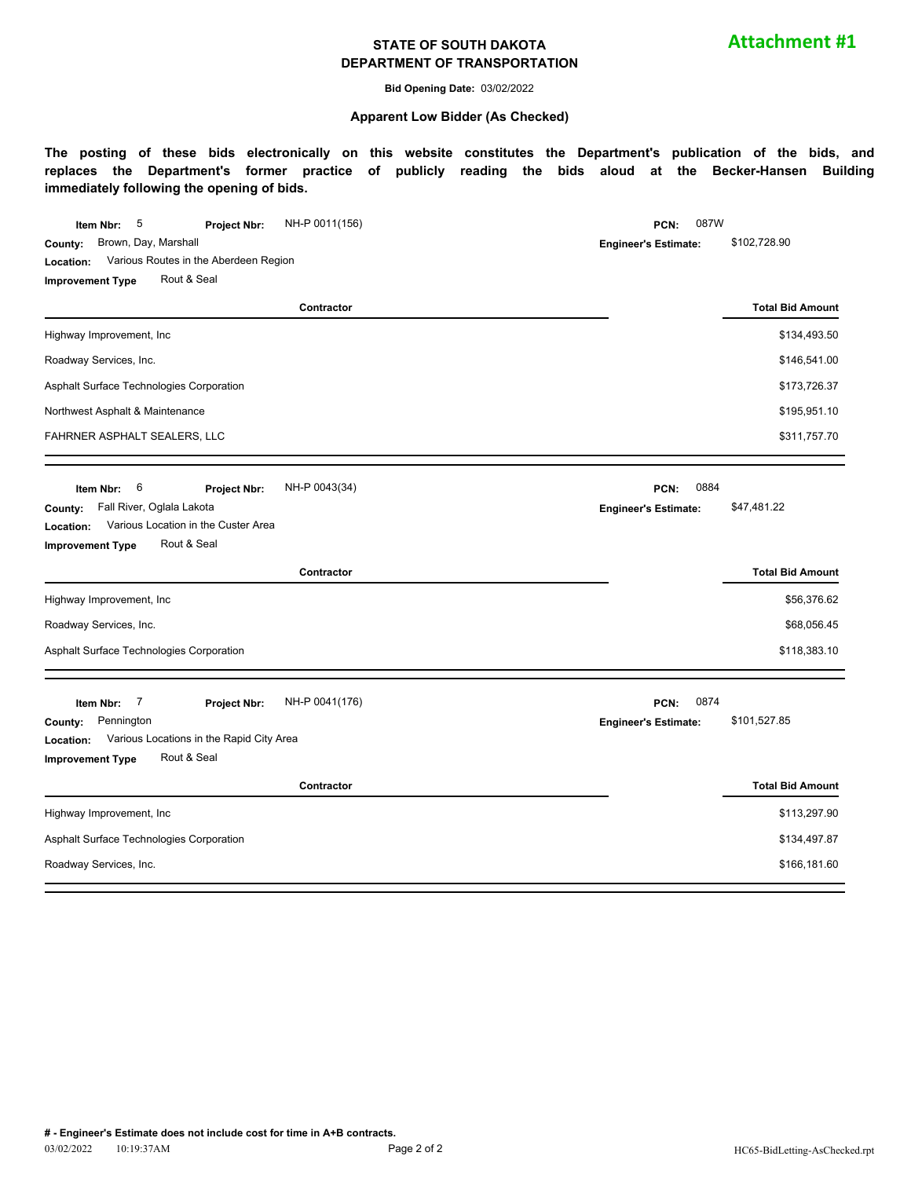#### **STATE OF SOUTH DAKOTA DEPARTMENT OF TRANSPORTATION**

**Bid Opening Date:** 03/02/2022

#### **Apparent Low Bidder (As Checked)**

**The posting of these bids electronically on this website constitutes the Department's publication of the bids, and replaces the Department's former practice of publicly reading the bids aloud at the Becker-Hansen Building immediately following the opening of bids.**

| NH-P 0011(156)<br>5<br>Item Nbr:<br><b>Project Nbr:</b> | 087W<br>PCN:                |                                              |  |
|---------------------------------------------------------|-----------------------------|----------------------------------------------|--|
| Brown, Day, Marshall<br>County:                         | <b>Engineer's Estimate:</b> | \$102,728.90                                 |  |
| Various Routes in the Aberdeen Region<br>Location:      |                             |                                              |  |
| Rout & Seal<br><b>Improvement Type</b>                  |                             |                                              |  |
| Contractor                                              |                             | <b>Total Bid Amount</b>                      |  |
| Highway Improvement, Inc                                |                             | \$134,493.50                                 |  |
| Roadway Services, Inc.                                  |                             | \$146,541.00<br>\$173,726.37<br>\$195,951.10 |  |
| Asphalt Surface Technologies Corporation                |                             |                                              |  |
| Northwest Asphalt & Maintenance                         |                             |                                              |  |
| FAHRNER ASPHALT SEALERS, LLC                            |                             | \$311,757.70                                 |  |
| 6<br>NH-P 0043(34)<br>Item Nbr:<br>Project Nbr:         | 0884<br>PCN:                |                                              |  |
| Fall River, Oglala Lakota<br>County:                    | <b>Engineer's Estimate:</b> | \$47,481.22                                  |  |
| Various Location in the Custer Area<br>Location:        |                             |                                              |  |
| Rout & Seal<br><b>Improvement Type</b>                  |                             |                                              |  |
| Contractor                                              |                             | <b>Total Bid Amount</b>                      |  |
| Highway Improvement, Inc                                |                             | \$56,376.62                                  |  |
| Roadway Services, Inc.                                  |                             | \$68,056.45                                  |  |
| Asphalt Surface Technologies Corporation                |                             | \$118,383.10                                 |  |
| 7<br>NH-P 0041(176)<br>Item Nbr:<br>Project Nbr:        | 0874<br>PCN:                |                                              |  |
| Pennington<br>County:                                   | <b>Engineer's Estimate:</b> | \$101,527.85                                 |  |
| Various Locations in the Rapid City Area<br>Location:   |                             |                                              |  |
| Rout & Seal<br><b>Improvement Type</b>                  |                             |                                              |  |
| Contractor                                              |                             | <b>Total Bid Amount</b>                      |  |
| Highway Improvement, Inc                                |                             | \$113,297.90                                 |  |
| Asphalt Surface Technologies Corporation                |                             | \$134,497.87                                 |  |
| Roadway Services, Inc.                                  |                             | \$166,181.60                                 |  |
|                                                         |                             |                                              |  |